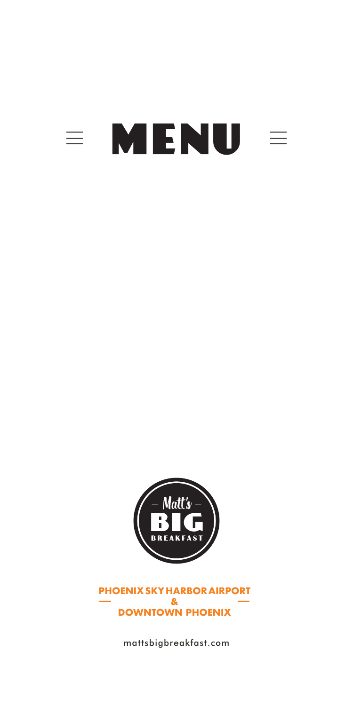# $\equiv$  MENU  $\equiv$



**PHOENIX SKY HARBOR AIRPORT & DOWNTOWN PHOENIX**

mattsbigbreakfast.com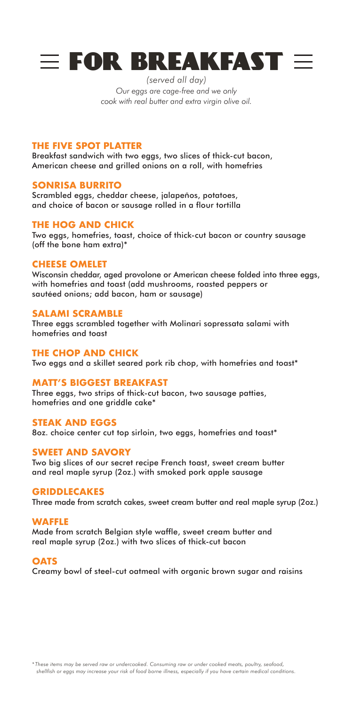

*(served all day) Our eggs are cage-free and we only cook with real butter and extra virgin olive oil.*

#### **THE FIVE SPOT PLATTER**

Breakfast sandwich with two eggs, two slices of thick-cut bacon, American cheese and grilled onions on a roll, with homefries

#### **SONRISA BURRITO**

Scrambled eggs, cheddar cheese, jalapeños, potatoes, and choice of bacon or sausage rolled in a flour tortilla

#### **THE HOG AND CHICK**

Two eggs, homefries, toast, choice of thick-cut bacon or country sausage (off the bone ham extra)\*

#### **CHEESE OMELET**

Wisconsin cheddar, aged provolone or American cheese folded into three eggs, with homefries and toast (add mushrooms, roasted peppers or sautéed onions; add bacon, ham or sausage)

#### **SALAMI SCRAMBLE**

Three eggs scrambled together with Molinari sopressata salami with homefries and toast

#### **THE CHOP AND CHICK**

Two eggs and a skillet seared pork rib chop, with homefries and toast\*

#### **MATT'S BIGGEST BREAKFAST**

Three eggs, two strips of thick-cut bacon, two sausage patties, homefries and one griddle cake\*

#### **STEAK AND EGGS**

8oz. choice center cut top sirloin, two eggs, homefries and toast\*

#### **SWEET AND SAVORY**

Two big slices of our secret recipe French toast, sweet cream butter and real maple syrup (2oz.) with smoked pork apple sausage

#### **GRIDDLECAKES**

Three made from scratch cakes, sweet cream butter and real maple syrup (2oz.)

#### **WAFFLE**

Made from scratch Belgian style waffle, sweet cream butter and real maple syrup (2oz.) with two slices of thick-cut bacon

#### **OATS**

Creamy bowl of steel-cut oatmeal with organic brown sugar and raisins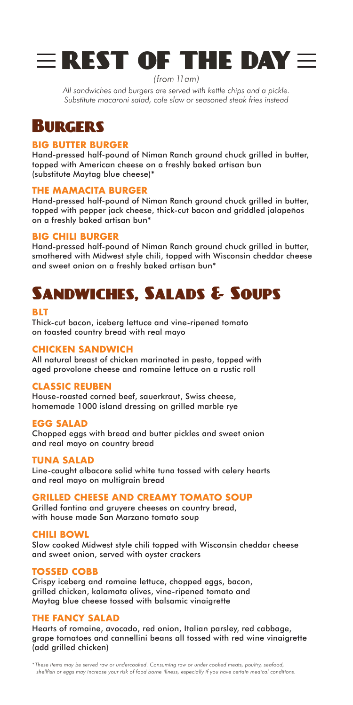

*(from 11am)*

*All sandwiches and burgers are served with kettle chips and a pickle. Substitute macaroni salad, cole slaw or seasoned steak fries instead*

## Burgers

#### **BIG BUTTER BURGER**

Hand-pressed half-pound of Niman Ranch ground chuck grilled in butter, topped with American cheese on a freshly baked artisan bun (substitute Maytag blue cheese)\*

#### **THE MAMACITA BURGER**

Hand-pressed half-pound of Niman Ranch ground chuck grilled in butter, topped with pepper jack cheese, thick-cut bacon and griddled jalapeños on a freshly baked artisan bun\*

#### **BIG CHILI BURGER**

Hand-pressed half-pound of Niman Ranch ground chuck grilled in butter, smothered with Midwest style chili, topped with Wisconsin cheddar cheese and sweet onion on a freshly baked artisan bun\*

## Sandwiches, Salads & Soups

#### **BLT**

Thick-cut bacon, iceberg lettuce and vine-ripened tomato on toasted country bread with real mayo

#### **CHICKEN SANDWICH**

All natural breast of chicken marinated in pesto, topped with aged provolone cheese and romaine lettuce on a rustic roll

#### **CLASSIC REUBEN**

House-roasted corned beef, sauerkraut, Swiss cheese, homemade 1000 island dressing on grilled marble rye

#### **EGG SALAD**

Chopped eggs with bread and butter pickles and sweet onion and real mayo on country bread

#### **TUNA SALAD**

Line-caught albacore solid white tuna tossed with celery hearts and real mayo on multigrain bread

#### **GRILLED CHEESE AND CREAMY TOMATO SOUP**

Grilled fontina and gruyere cheeses on country bread, with house made San Marzano tomato soup

#### **CHILI BOWL**

Slow cooked Midwest style chili topped with Wisconsin cheddar cheese and sweet onion, served with oyster crackers

#### **TOSSED COBB**

Crispy iceberg and romaine lettuce, chopped eggs, bacon, grilled chicken, kalamata olives, vine-ripened tomato and Maytag blue cheese tossed with balsamic vinaigrette

#### **THE FANCY SALAD**

Hearts of romaine, avocado, red onion, Italian parsley, red cabbage, grape tomatoes and cannellini beans all tossed with red wine vinaigrette (add grilled chicken)

*\* These items may be served raw or undercooked. Consuming raw or under cooked meats, poultry, seafood, shellfish or eggs may increase your risk of food borne illness, especially if you have certain medical conditions.*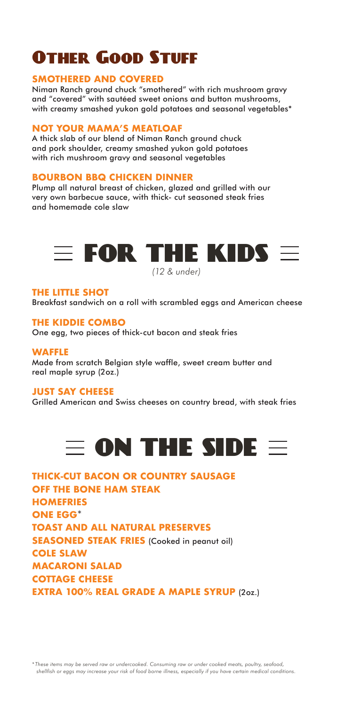# Other Good Stuff

#### **SMOTHERED AND COVERED**

Niman Ranch ground chuck "smothered" with rich mushroom gravy and "covered" with sautéed sweet onions and button mushrooms, with creamy smashed yukon gold potatoes and seasonal vegetables\*

#### **NOT YOUR MAMA'S MEATLOAF**

A thick slab of our blend of Niman Ranch ground chuck and pork shoulder, creamy smashed yukon gold potatoes with rich mushroom gravy and seasonal vegetables

#### **BOURBON BBQ CHICKEN DINNER**

Plump all natural breast of chicken, glazed and grilled with our very own barbecue sauce, with thick- cut seasoned steak fries and homemade cole slaw



*(12 & under)*

#### **THE LITTLE SHOT**

Breakfast sandwich on a roll with scrambled eggs and American cheese

#### **THE KIDDIE COMBO**

One egg, two pieces of thick-cut bacon and steak fries

#### **WAFFLE**

Made from scratch Belgian style waffle, sweet cream butter and real maple syrup (2oz.)

#### **JUST SAY CHEESE**

Grilled American and Swiss cheeses on country bread, with steak fries



| <b>THICK-CUT BACON OR COUNTRY SAUSAGE</b>          |  |
|----------------------------------------------------|--|
| <b>OFF THE BONE HAM STEAK</b>                      |  |
| <b>HOMEFRIES</b>                                   |  |
| <b>ONE EGG*</b>                                    |  |
| <b>TOAST AND ALL NATURAL PRESERVES</b>             |  |
| <b>SEASONED STEAK FRIES (Cooked in peanut oil)</b> |  |
| <b>COLE SLAW</b>                                   |  |
| <b>MACARONI SALAD</b>                              |  |
| <b>COTTAGE CHEESE</b>                              |  |
| <b>EXTRA 100% REAL GRADE A MAPLE SYRUP (2oz.)</b>  |  |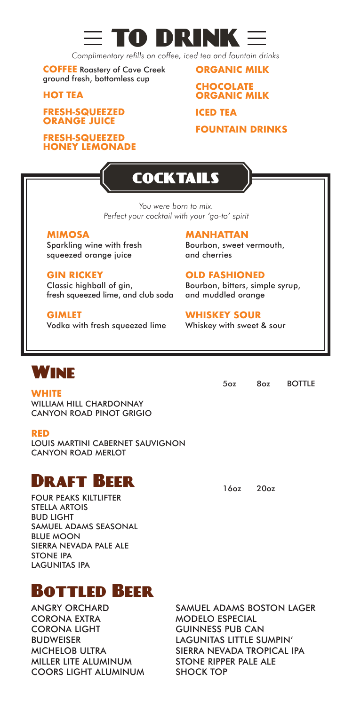

*Complimentary refills on coffee, iced tea and fountain drinks*

**COFFEE** Roastery of Cave Creek ground fresh, bottomless cup

**HOT TEA** 

**FRESH-SQUEEZED ORANGE JUICE**

**FRESH-SQUEEZED HONEY LEMONADE** **ORGANIC MILK CHOCOLATE ORGANIC MILK**

**ICED TEA** 

**FOUNTAIN DRINKS**

# **COCKTAILS**

*You were born to mix. Perfect your cocktail with your 'go-to' spirit*

#### **MIMOSA**

Sparkling wine with fresh squeezed orange juice

**GIN RICKEY** Classic highball of gin, fresh squeezed lime, and club soda

## **GIMLET**

Vodka with fresh squeezed lime

**MANHATTAN** Bourbon, sweet vermouth, and cherries

## **OLD FASHIONED**

Bourbon, bitters, simple syrup, and muddled orange

#### **WHISKEY SOUR**

Whiskey with sweet & sour



**WHITE** WILLIAM HILL CHARDONNAY CANYON ROAD PINOT GRIGIO

#### **RED**

LOUIS MARTINI CABERNET SAUVIGNON CANYON ROAD MERLOT

## Draft Beer

FOUR PEAKS KILTLIFTER STELLA ARTOIS BUD LIGHT SAMUEL ADAMS SEASONAL BLUE MOON SIERRA NEVADA PALE ALE STONE IPA LAGUNITAS IPA

## Bottled Beer

ANGRY ORCHARD CORONA EXTRA CORONA LIGHT BUDWEISER MICHELOB ULTRA MILLER LITE ALUMINUM COORS LIGHT ALUMINUM SAMUEL ADAMS BOSTON LAGER MODELO ESPECIAL GUINNESS PUB CAN LAGUNITAS LITTLE SUMPIN' SIERRA NEVADA TROPICAL IPA STONE RIPPER PALE ALE SHOCK TOP

5oz 8oz BOTTLE

16oz 20oz